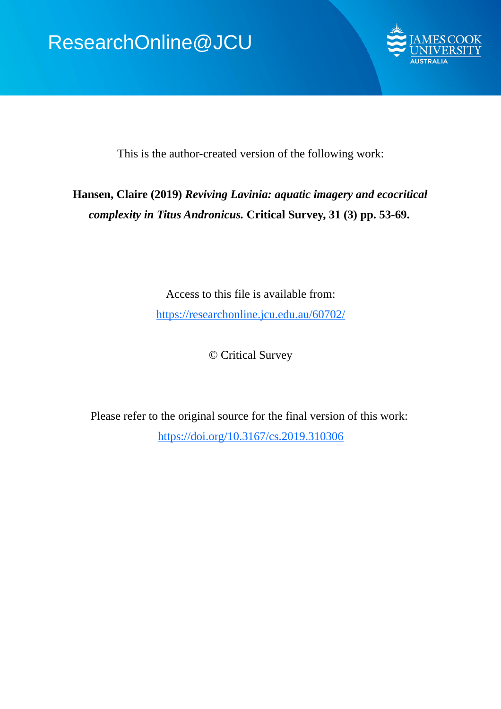# ResearchOnline@JCU



This is the author-created version of the following work:

# **Hansen, Claire (2019)** *Reviving Lavinia: aquatic imagery and ecocritical complexity in Titus Andronicus.* **Critical Survey, 31 (3) pp. 53-69.**

Access to this file is available from: https://researchonline.jcu.edu.au/60702/

© Critical Survey

Please refer to the original source for the final version of this work: https://doi.org/10.3167/cs.2019.310306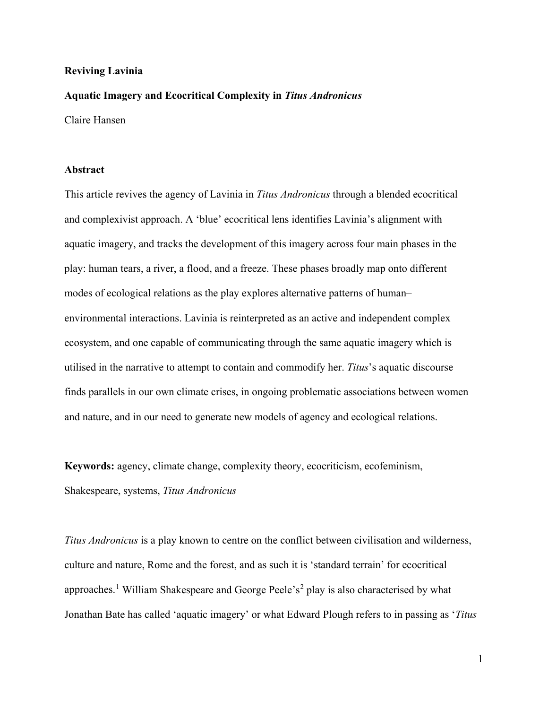# **Reviving Lavinia**

#### **Aquatic Imagery and Ecocritical Complexity in** *Titus Andronicus*

Claire Hansen

# **Abstract**

This article revives the agency of Lavinia in *Titus Andronicus* through a blended ecocritical and complexivist approach. A 'blue' ecocritical lens identifies Lavinia's alignment with aquatic imagery, and tracks the development of this imagery across four main phases in the play: human tears, a river, a flood, and a freeze. These phases broadly map onto different modes of ecological relations as the play explores alternative patterns of human– environmental interactions. Lavinia is reinterpreted as an active and independent complex ecosystem, and one capable of communicating through the same aquatic imagery which is utilised in the narrative to attempt to contain and commodify her. *Titus*'s aquatic discourse finds parallels in our own climate crises, in ongoing problematic associations between women and nature, and in our need to generate new models of agency and ecological relations.

**Keywords:** agency, climate change, complexity theory, ecocriticism, ecofeminism, Shakespeare, systems, *Titus Andronicus*

*Titus Andronicus* is a play known to centre on the conflict between civilisation and wilderness, culture and nature, Rome and the forest, and as such it is 'standard terrain' for ecocritical approaches.<sup>[1](#page-3-0)</sup> William Shakespeare and George Peele's<sup>[2](#page-3-1)</sup> play is also characterised by what Jonathan Bate has called 'aquatic imagery' or what Edward Plough refers to in passing as '*Titus*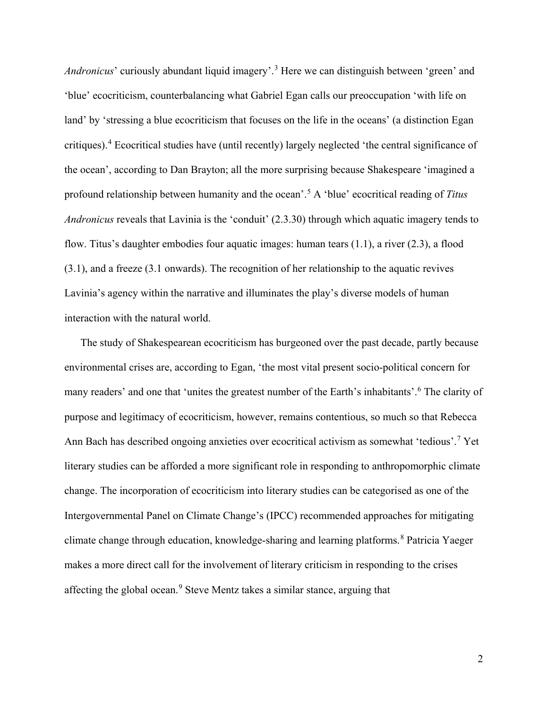*Andronicus*' curiously abundant liquid imagery'.<sup>[3](#page-3-2)</sup> Here we can distinguish between 'green' and 'blue' ecocriticism, counterbalancing what Gabriel Egan calls our preoccupation 'with life on land' by 'stressing a blue ecocriticism that focuses on the life in the oceans' (a distinction Egan critiques).[4](#page-4-0) Ecocritical studies have (until recently) largely neglected 'the central significance of the ocean', according to Dan Brayton; all the more surprising because Shakespeare 'imagined a profound relationship between humanity and the ocean'.[5](#page-4-1) A 'blue' ecocritical reading of *Titus Andronicus* reveals that Lavinia is the 'conduit' (2.3.30) through which aquatic imagery tends to flow. Titus's daughter embodies four aquatic images: human tears (1.1), a river (2.3), a flood (3.1), and a freeze (3.1 onwards). The recognition of her relationship to the aquatic revives Lavinia's agency within the narrative and illuminates the play's diverse models of human interaction with the natural world.

The study of Shakespearean ecocriticism has burgeoned over the past decade, partly because environmental crises are, according to Egan, 'the most vital present socio-political concern for many readers' and one that 'unites the greatest number of the Earth's inhabitants'.[6](#page-4-2) The clarity of purpose and legitimacy of ecocriticism, however, remains contentious, so much so that Rebecca Ann Bach has described ongoing anxieties over ecocritical activism as somewhat 'tedious'.[7](#page-4-3) Yet literary studies can be afforded a more significant role in responding to anthropomorphic climate change. The incorporation of ecocriticism into literary studies can be categorised as one of the Intergovernmental Panel on Climate Change's (IPCC) recommended approaches for mitigating climate change through education, knowledge-sharing and learning platforms.<sup>[8](#page-4-4)</sup> Patricia Yaeger makes a more direct call for the involvement of literary criticism in responding to the crises affecting the global ocean.<sup>[9](#page-5-0)</sup> Steve Mentz takes a similar stance, arguing that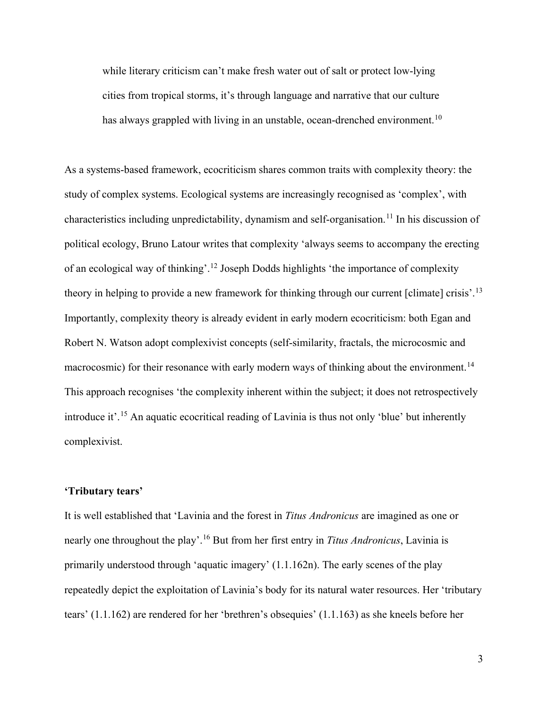while literary criticism can't make fresh water out of salt or protect low-lying cities from tropical storms, it's through language and narrative that our culture has always grappled with living in an unstable, ocean-drenched environment.<sup>[10](#page-5-1)</sup>

As a systems-based framework, ecocriticism shares common traits with complexity theory: the study of complex systems. Ecological systems are increasingly recognised as 'complex', with characteristics including unpredictability, dynamism and self-organisation.<sup>[11](#page-5-2)</sup> In his discussion of political ecology, Bruno Latour writes that complexity 'always seems to accompany the erecting of an ecological way of thinking'.[12](#page-5-3) Joseph Dodds highlights 'the importance of complexity theory in helping to provide a new framework for thinking through our current [climate] crisis'.[13](#page-5-4) Importantly, complexity theory is already evident in early modern ecocriticism: both Egan and Robert N. Watson adopt complexivist concepts (self-similarity, fractals, the microcosmic and macrocosmic) for their resonance with early modern ways of thinking about the environment.<sup>[14](#page-5-5)</sup> This approach recognises 'the complexity inherent within the subject; it does not retrospectively introduce it'. [15](#page-6-0) An aquatic ecocritical reading of Lavinia is thus not only 'blue' but inherently complexivist.

# <span id="page-3-1"></span><span id="page-3-0"></span>**'Tributary tears'**

<span id="page-3-2"></span>It is well established that 'Lavinia and the forest in *Titus Andronicus* are imagined as one or nearly one throughout the play'. [16](#page-6-1) But from her first entry in *Titus Andronicus*, Lavinia is primarily understood through 'aquatic imagery' (1.1.162n). The early scenes of the play repeatedly depict the exploitation of Lavinia's body for its natural water resources. Her 'tributary tears' (1.1.162) are rendered for her 'brethren's obsequies' (1.1.163) as she kneels before her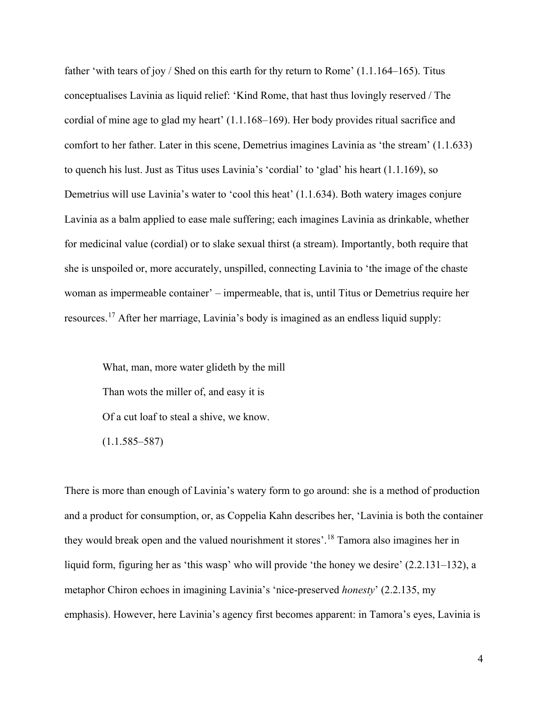<span id="page-4-0"></span>father 'with tears of joy / Shed on this earth for thy return to Rome' (1.1.164–165). Titus conceptualises Lavinia as liquid relief: 'Kind Rome, that hast thus lovingly reserved / The cordial of mine age to glad my heart' (1.1.168–169). Her body provides ritual sacrifice and comfort to her father. Later in this scene, Demetrius imagines Lavinia as 'the stream' (1.1.633) to quench his lust. Just as Titus uses Lavinia's 'cordial' to 'glad' his heart (1.1.169), so Demetrius will use Lavinia's water to 'cool this heat' (1.1.634). Both watery images conjure Lavinia as a balm applied to ease male suffering; each imagines Lavinia as drinkable, whether for medicinal value (cordial) or to slake sexual thirst (a stream). Importantly, both require that she is unspoiled or, more accurately, unspilled, connecting Lavinia to 'the image of the chaste woman as impermeable container' – impermeable, that is, until Titus or Demetrius require her resources.[17](#page-6-2) After her marriage, Lavinia's body is imagined as an endless liquid supply:

<span id="page-4-2"></span><span id="page-4-1"></span>What, man, more water glideth by the mill Than wots the miller of, and easy it is Of a cut loaf to steal a shive, we know.  $(1.1.585 - 587)$ 

<span id="page-4-4"></span><span id="page-4-3"></span>There is more than enough of Lavinia's watery form to go around: she is a method of production and a product for consumption, or, as Coppelia Kahn describes her, 'Lavinia is both the container they would break open and the valued nourishment it stores'. [18](#page-6-3) Tamora also imagines her in liquid form, figuring her as 'this wasp' who will provide 'the honey we desire' (2.2.131–132), a metaphor Chiron echoes in imagining Lavinia's 'nice-preserved *honesty*' (2.2.135, my emphasis). However, here Lavinia's agency first becomes apparent: in Tamora's eyes, Lavinia is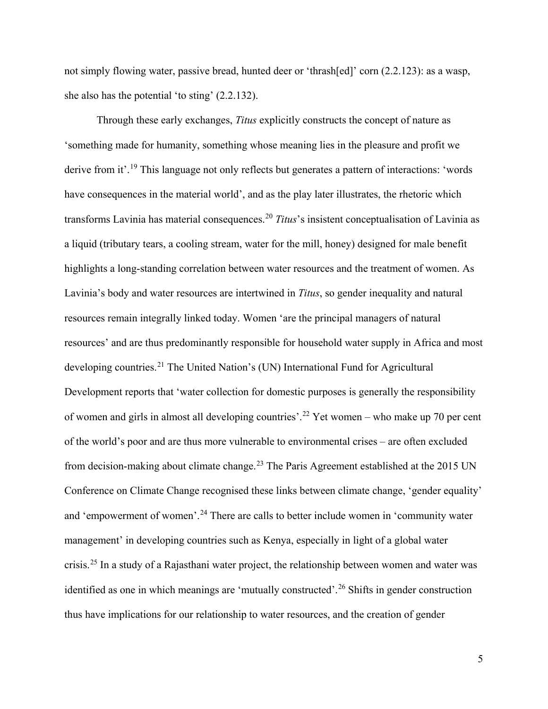not simply flowing water, passive bread, hunted deer or 'thrash[ed]' corn (2.2.123): as a wasp, she also has the potential 'to sting' (2.2.132).

<span id="page-5-5"></span><span id="page-5-4"></span><span id="page-5-3"></span><span id="page-5-2"></span><span id="page-5-1"></span><span id="page-5-0"></span>Through these early exchanges, *Titus* explicitly constructs the concept of nature as 'something made for humanity, something whose meaning lies in the pleasure and profit we derive from it'.<sup>[19](#page-6-4)</sup> This language not only reflects but generates a pattern of interactions: 'words have consequences in the material world', and as the play later illustrates, the rhetoric which transforms Lavinia has material consequences.[20](#page-6-5) *Titus*'s insistent conceptualisation of Lavinia as a liquid (tributary tears, a cooling stream, water for the mill, honey) designed for male benefit highlights a long-standing correlation between water resources and the treatment of women. As Lavinia's body and water resources are intertwined in *Titus*, so gender inequality and natural resources remain integrally linked today. Women 'are the principal managers of natural resources' and are thus predominantly responsible for household water supply in Africa and most developing countries.[21](#page-6-6) The United Nation's (UN) International Fund for Agricultural Development reports that 'water collection for domestic purposes is generally the responsibility of women and girls in almost all developing countries'. [22](#page-6-7) Yet women – who make up 70 per cent of the world's poor and are thus more vulnerable to environmental crises – are often excluded from decision-making about climate change.<sup>[23](#page-7-0)</sup> The Paris Agreement established at the 2015 UN Conference on Climate Change recognised these links between climate change, 'gender equality' and 'empowerment of women'.<sup>[24](#page-7-1)</sup> There are calls to better include women in 'community water management' in developing countries such as Kenya, especially in light of a global water crisis.<sup>[25](#page-7-2)</sup> In a study of a Rajasthani water project, the relationship between women and water was identified as one in which meanings are 'mutually constructed'.<sup>[26](#page-7-3)</sup> Shifts in gender construction thus have implications for our relationship to water resources, and the creation of gender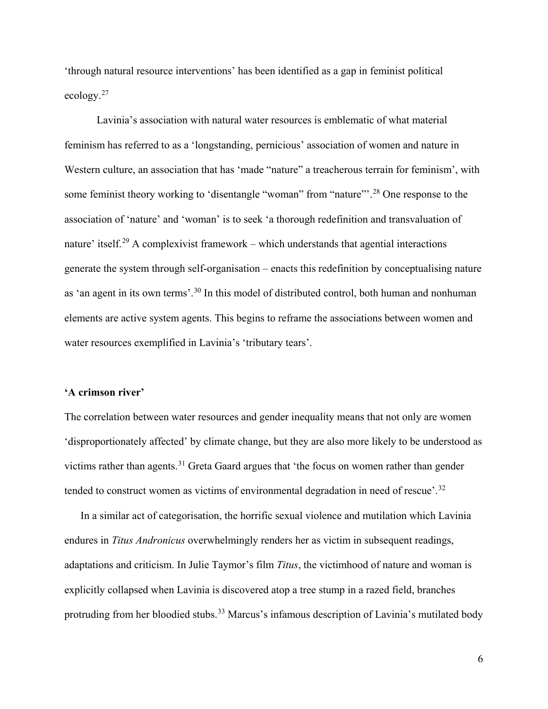'through natural resource interventions' has been identified as a gap in feminist political ecology.[27](#page-7-4)

<span id="page-6-1"></span><span id="page-6-0"></span>Lavinia's association with natural water resources is emblematic of what material feminism has referred to as a 'longstanding, pernicious' association of women and nature in Western culture, an association that has 'made "nature" a treacherous terrain for feminism', with some feminist theory working to 'disentangle "woman" from "nature"<sup>[28](#page-7-5)</sup> One response to the association of 'nature' and 'woman' is to seek 'a thorough redefinition and transvaluation of nature' itself.<sup>[29](#page-7-6)</sup> A complexivist framework – which understands that agential interactions generate the system through self-organisation – enacts this redefinition by conceptualising nature as 'an agent in its own terms'.<sup>[30](#page-8-0)</sup> In this model of distributed control, both human and nonhuman elements are active system agents. This begins to reframe the associations between women and water resources exemplified in Lavinia's 'tributary tears'.

#### <span id="page-6-4"></span><span id="page-6-3"></span><span id="page-6-2"></span>**'A crimson river'**

<span id="page-6-6"></span><span id="page-6-5"></span>The correlation between water resources and gender inequality means that not only are women 'disproportionately affected' by climate change, but they are also more likely to be understood as victims rather than agents. $31$  Greta Gaard argues that 'the focus on women rather than gender tended to construct women as victims of environmental degradation in need of rescue'.<sup>[32](#page-8-2)</sup>

<span id="page-6-7"></span>In a similar act of categorisation, the horrific sexual violence and mutilation which Lavinia endures in *Titus Andronicus* overwhelmingly renders her as victim in subsequent readings, adaptations and criticism. In Julie Taymor's film *Titus*, the victimhood of nature and woman is explicitly collapsed when Lavinia is discovered atop a tree stump in a razed field, branches protruding from her bloodied stubs.<sup>[33](#page-8-3)</sup> Marcus's infamous description of Lavinia's mutilated body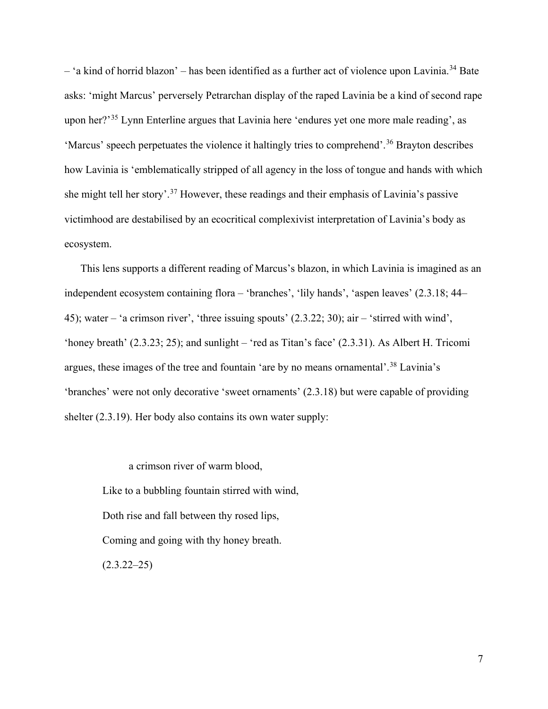<span id="page-7-0"></span> $-$  'a kind of horrid blazon' – has been identified as a further act of violence upon Lavinia.<sup>[34](#page-8-4)</sup> Bate asks: 'might Marcus' perversely Petrarchan display of the raped Lavinia be a kind of second rape upon her?'[35](#page-8-5) Lynn Enterline argues that Lavinia here 'endures yet one more male reading', as 'Marcus' speech perpetuates the violence it haltingly tries to comprehend'.<sup>[36](#page-8-6)</sup> Brayton describes how Lavinia is 'emblematically stripped of all agency in the loss of tongue and hands with which she might tell her story'.[37](#page-8-7) However, these readings and their emphasis of Lavinia's passive victimhood are destabilised by an ecocritical complexivist interpretation of Lavinia's body as ecosystem.

<span id="page-7-2"></span><span id="page-7-1"></span>This lens supports a different reading of Marcus's blazon, in which Lavinia is imagined as an independent ecosystem containing flora – 'branches', 'lily hands', 'aspen leaves' (2.3.18; 44– 45); water – 'a crimson river', 'three issuing spouts' (2.3.22; 30); air – 'stirred with wind', 'honey breath' (2.3.23; 25); and sunlight – 'red as Titan's face' (2.3.31). As Albert H. Tricomi argues, these images of the tree and fountain 'are by no means ornamental'.<sup>[38](#page-8-8)</sup> Lavinia's 'branches' were not only decorative 'sweet ornaments' (2.3.18) but were capable of providing shelter (2.3.19). Her body also contains its own water supply:

<span id="page-7-6"></span><span id="page-7-5"></span><span id="page-7-4"></span><span id="page-7-3"></span>a crimson river of warm blood, Like to a bubbling fountain stirred with wind, Doth rise and fall between thy rosed lips, Coming and going with thy honey breath.  $(2.3.22 - 25)$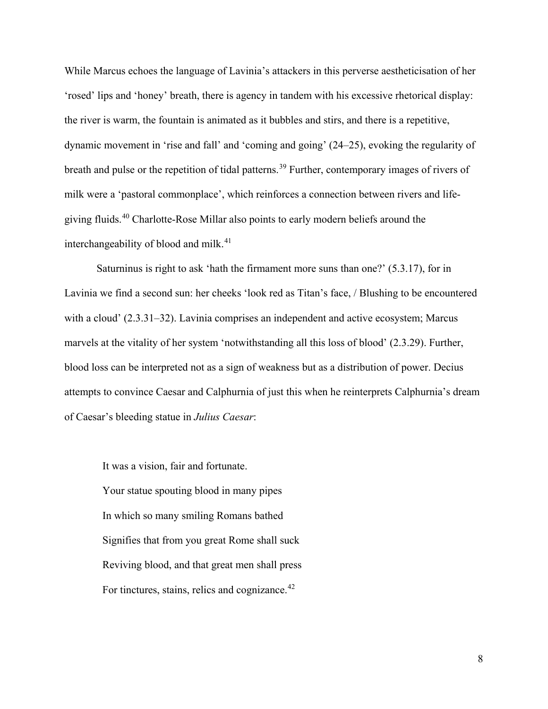<span id="page-8-1"></span><span id="page-8-0"></span>While Marcus echoes the language of Lavinia's attackers in this perverse aestheticisation of her 'rosed' lips and 'honey' breath, there is agency in tandem with his excessive rhetorical display: the river is warm, the fountain is animated as it bubbles and stirs, and there is a repetitive, dynamic movement in 'rise and fall' and 'coming and going' (24–25), evoking the regularity of breath and pulse or the repetition of tidal patterns.<sup>[39](#page-8-9)</sup> Further, contemporary images of rivers of milk were a 'pastoral commonplace', which reinforces a connection between rivers and lifegiving fluids.[40](#page-8-10) Charlotte-Rose Millar also points to early modern beliefs around the interchangeability of blood and milk.<sup>[41](#page-8-11)</sup>

<span id="page-8-7"></span><span id="page-8-6"></span><span id="page-8-5"></span><span id="page-8-4"></span><span id="page-8-3"></span><span id="page-8-2"></span>Saturninus is right to ask 'hath the firmament more suns than one?' (5.3.17), for in Lavinia we find a second sun: her cheeks 'look red as Titan's face, / Blushing to be encountered with a cloud' (2.3.31–32). Lavinia comprises an independent and active ecosystem; Marcus marvels at the vitality of her system 'notwithstanding all this loss of blood' (2.3.29). Further, blood loss can be interpreted not as a sign of weakness but as a distribution of power. Decius attempts to convince Caesar and Calphurnia of just this when he reinterprets Calphurnia's dream of Caesar's bleeding statue in *Julius Caesar*:

<span id="page-8-13"></span><span id="page-8-12"></span><span id="page-8-11"></span><span id="page-8-10"></span><span id="page-8-9"></span><span id="page-8-8"></span>It was a vision, fair and fortunate. Your statue spouting blood in many pipes In which so many smiling Romans bathed Signifies that from you great Rome shall suck Reviving blood, and that great men shall press For tinctures, stains, relics and cognizance.<sup>[42](#page-8-12)</sup>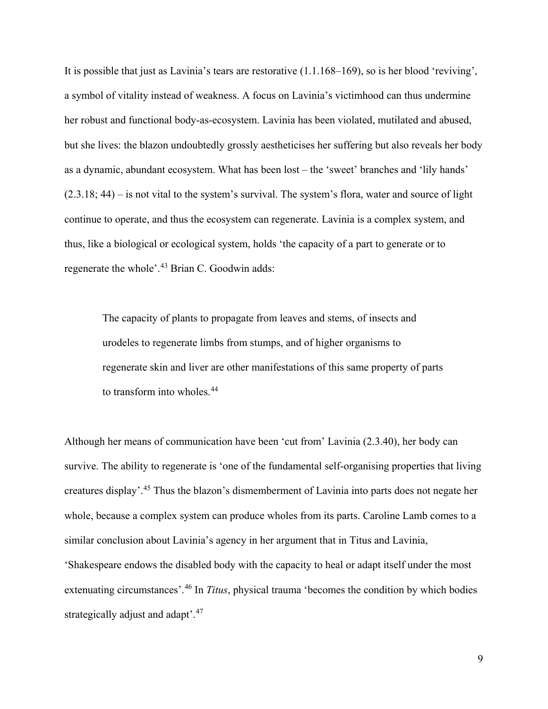<span id="page-9-4"></span><span id="page-9-3"></span><span id="page-9-2"></span><span id="page-9-1"></span><span id="page-9-0"></span>It is possible that just as Lavinia's tears are restorative (1.1.168–169), so is her blood 'reviving', a symbol of vitality instead of weakness. A focus on Lavinia's victimhood can thus undermine her robust and functional body-as-ecosystem. Lavinia has been violated, mutilated and abused, but she lives: the blazon undoubtedly grossly aestheticises her suffering but also reveals her body as a dynamic, abundant ecosystem. What has been lost – the 'sweet' branches and 'lily hands'  $(2.3.18; 44)$  – is not vital to the system's survival. The system's flora, water and source of light continue to operate, and thus the ecosystem can regenerate. Lavinia is a complex system, and thus, like a biological or ecological system, holds 'the capacity of a part to generate or to regenerate the whole'.<sup>[43](#page-8-13)</sup> Brian C. Goodwin adds:

<span id="page-9-6"></span><span id="page-9-5"></span>The capacity of plants to propagate from leaves and stems, of insects and urodeles to regenerate limbs from stumps, and of higher organisms to regenerate skin and liver are other manifestations of this same property of parts to transform into wholes.[44](#page-9-0)

<span id="page-9-10"></span><span id="page-9-9"></span><span id="page-9-8"></span><span id="page-9-7"></span>Although her means of communication have been 'cut from' Lavinia (2.3.40), her body can survive. The ability to regenerate is 'one of the fundamental self-organising properties that living creatures display'. [45](#page-9-1) Thus the blazon's dismemberment of Lavinia into parts does not negate her whole, because a complex system can produce wholes from its parts. Caroline Lamb comes to a similar conclusion about Lavinia's agency in her argument that in Titus and Lavinia, 'Shakespeare endows the disabled body with the capacity to heal or adapt itself under the most extenuating circumstances'.<sup>[46](#page-9-2)</sup> In *Titus*, physical trauma 'becomes the condition by which bodies strategically adjust and adapt'.<sup>[47](#page-9-3)</sup>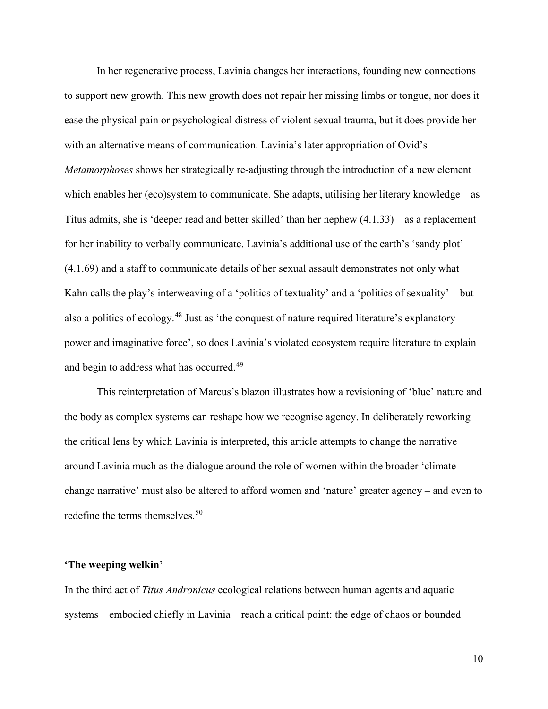<span id="page-10-2"></span><span id="page-10-1"></span><span id="page-10-0"></span>In her regenerative process, Lavinia changes her interactions, founding new connections to support new growth. This new growth does not repair her missing limbs or tongue, nor does it ease the physical pain or psychological distress of violent sexual trauma, but it does provide her with an alternative means of communication. Lavinia's later appropriation of Ovid's *Metamorphoses* shows her strategically re-adjusting through the introduction of a new element which enables her (eco)system to communicate. She adapts, utilising her literary knowledge – as Titus admits, she is 'deeper read and better skilled' than her nephew (4.1.33) – as a replacement for her inability to verbally communicate. Lavinia's additional use of the earth's 'sandy plot' (4.1.69) and a staff to communicate details of her sexual assault demonstrates not only what Kahn calls the play's interweaving of a 'politics of textuality' and a 'politics of sexuality' – but also a politics of ecology.<sup>[48](#page-9-4)</sup> Just as 'the conquest of nature required literature's explanatory power and imaginative force', so does Lavinia's violated ecosystem require literature to explain and begin to address what has occurred.<sup>[49](#page-9-5)</sup>

<span id="page-10-11"></span><span id="page-10-10"></span><span id="page-10-9"></span><span id="page-10-8"></span><span id="page-10-7"></span><span id="page-10-6"></span><span id="page-10-5"></span><span id="page-10-4"></span><span id="page-10-3"></span>This reinterpretation of Marcus's blazon illustrates how a revisioning of 'blue' nature and the body as complex systems can reshape how we recognise agency. In deliberately reworking the critical lens by which Lavinia is interpreted, this article attempts to change the narrative around Lavinia much as the dialogue around the role of women within the broader 'climate change narrative' must also be altered to afford women and 'nature' greater agency – and even to redefine the terms themselves.<sup>[50](#page-9-6)</sup>

#### <span id="page-10-13"></span><span id="page-10-12"></span>**'The weeping welkin'**

<span id="page-10-15"></span><span id="page-10-14"></span>In the third act of *Titus Andronicus* ecological relations between human agents and aquatic systems – embodied chiefly in Lavinia – reach a critical point: the edge of chaos or bounded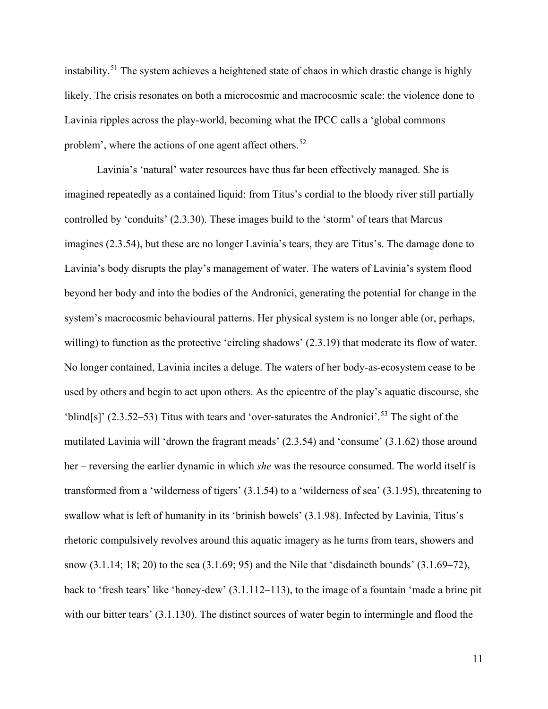<span id="page-11-1"></span><span id="page-11-0"></span>instability.<sup>[51](#page-9-7)</sup> The system achieves a heightened state of chaos in which drastic change is highly likely. The crisis resonates on both a microcosmic and macrocosmic scale: the violence done to Lavinia ripples across the play-world, becoming what the IPCC calls a 'global commons problem', where the actions of one agent affect others.<sup>[52](#page-9-8)</sup>

<span id="page-11-16"></span><span id="page-11-15"></span><span id="page-11-14"></span><span id="page-11-13"></span><span id="page-11-12"></span><span id="page-11-11"></span><span id="page-11-10"></span><span id="page-11-9"></span><span id="page-11-8"></span><span id="page-11-7"></span><span id="page-11-6"></span><span id="page-11-5"></span><span id="page-11-4"></span><span id="page-11-3"></span><span id="page-11-2"></span>Lavinia's 'natural' water resources have thus far been effectively managed. She is imagined repeatedly as a contained liquid: from Titus's cordial to the bloody river still partially controlled by 'conduits' (2.3.30). These images build to the 'storm' of tears that Marcus imagines (2.3.54), but these are no longer Lavinia's tears, they are Titus's. The damage done to Lavinia's body disrupts the play's management of water. The waters of Lavinia's system flood beyond her body and into the bodies of the Andronici, generating the potential for change in the system's macrocosmic behavioural patterns. Her physical system is no longer able (or, perhaps, willing) to function as the protective 'circling shadows'  $(2.3.19)$  that moderate its flow of water. No longer contained, Lavinia incites a deluge. The waters of her body-as-ecosystem cease to be used by others and begin to act upon others. As the epicentre of the play's aquatic discourse, she 'blind[s]'  $(2.3.52-53)$  $(2.3.52-53)$  $(2.3.52-53)$  Titus with tears and 'over-saturates the Andronici'.<sup>53</sup> The sight of the mutilated Lavinia will 'drown the fragrant meads' (2.3.54) and 'consume' (3.1.62) those around her – reversing the earlier dynamic in which *she* was the resource consumed. The world itself is transformed from a 'wilderness of tigers' (3.1.54) to a 'wilderness of sea' (3.1.95), threatening to swallow what is left of humanity in its 'brinish bowels' (3.1.98). Infected by Lavinia, Titus's rhetoric compulsively revolves around this aquatic imagery as he turns from tears, showers and snow (3.1.14; 18; 20) to the sea (3.1.69; 95) and the Nile that 'disdaineth bounds' (3.1.69–72), back to 'fresh tears' like 'honey-dew' (3.1.112–113), to the image of a fountain 'made a brine pit with our bitter tears' (3.1.130). The distinct sources of water begin to intermingle and flood the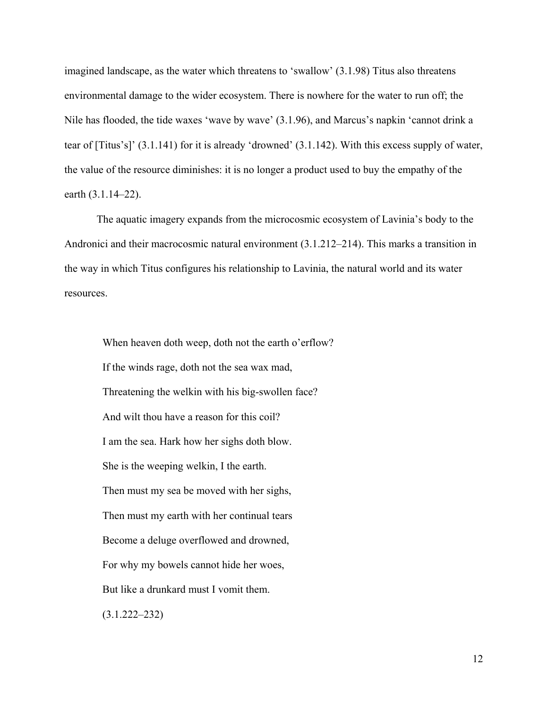imagined landscape, as the water which threatens to 'swallow' (3.1.98) Titus also threatens environmental damage to the wider ecosystem. There is nowhere for the water to run off; the Nile has flooded, the tide waxes 'wave by wave' (3.1.96), and Marcus's napkin 'cannot drink a tear of [Titus's]' (3.1.141) for it is already 'drowned' (3.1.142). With this excess supply of water, the value of the resource diminishes: it is no longer a product used to buy the empathy of the earth (3.1.14–22).

The aquatic imagery expands from the microcosmic ecosystem of Lavinia's body to the Andronici and their macrocosmic natural environment (3.1.212–214). This marks a transition in the way in which Titus configures his relationship to Lavinia, the natural world and its water resources.

When heaven doth weep, doth not the earth o'erflow? If the winds rage, doth not the sea wax mad, Threatening the welkin with his big-swollen face? And wilt thou have a reason for this coil? I am the sea. Hark how her sighs doth blow. She is the weeping welkin, I the earth. Then must my sea be moved with her sighs, Then must my earth with her continual tears Become a deluge overflowed and drowned, For why my bowels cannot hide her woes, But like a drunkard must I vomit them. (3.1.222–232)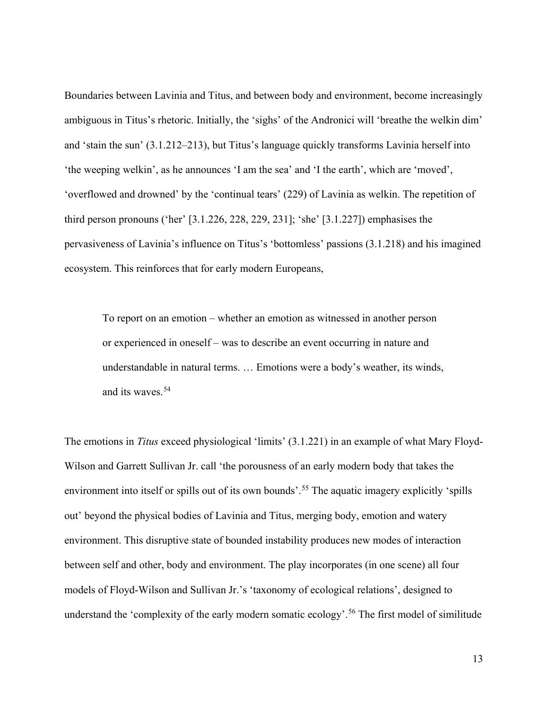Boundaries between Lavinia and Titus, and between body and environment, become increasingly ambiguous in Titus's rhetoric. Initially, the 'sighs' of the Andronici will 'breathe the welkin dim' and 'stain the sun' (3.1.212–213), but Titus's language quickly transforms Lavinia herself into 'the weeping welkin', as he announces 'I am the sea' and 'I the earth', which are 'moved', 'overflowed and drowned' by the 'continual tears' (229) of Lavinia as welkin. The repetition of third person pronouns ('her' [3.1.226, 228, 229, 231]; 'she' [3.1.227]) emphasises the pervasiveness of Lavinia's influence on Titus's 'bottomless' passions (3.1.218) and his imagined ecosystem. This reinforces that for early modern Europeans,

To report on an emotion – whether an emotion as witnessed in another person or experienced in oneself – was to describe an event occurring in nature and understandable in natural terms. … Emotions were a body's weather, its winds, and its waves.[54](#page-9-10)

The emotions in *Titus* exceed physiological 'limits' (3.1.221) in an example of what Mary Floyd-Wilson and Garrett Sullivan Jr. call 'the porousness of an early modern body that takes the environment into itself or spills out of its own bounds'.<sup>[55](#page-10-0)</sup> The aquatic imagery explicitly 'spills out' beyond the physical bodies of Lavinia and Titus, merging body, emotion and watery environment. This disruptive state of bounded instability produces new modes of interaction between self and other, body and environment. The play incorporates (in one scene) all four models of Floyd-Wilson and Sullivan Jr.'s 'taxonomy of ecological relations', designed to understand the 'complexity of the early modern somatic ecology'. [56](#page-10-1) The first model of similitude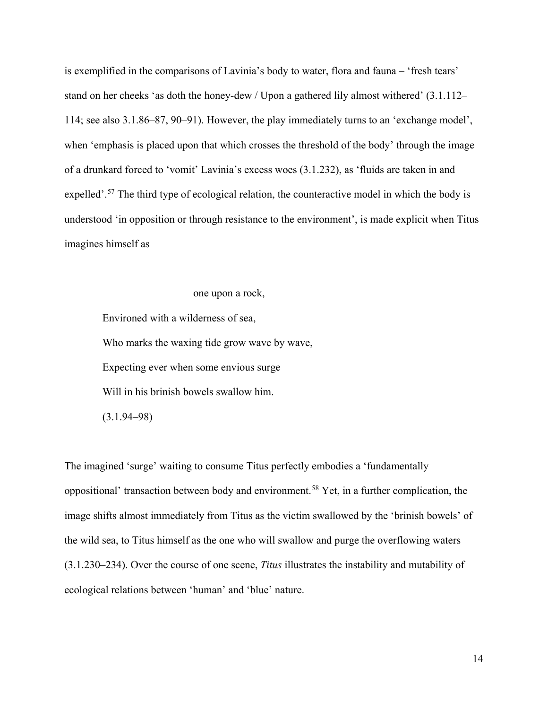is exemplified in the comparisons of Lavinia's body to water, flora and fauna – 'fresh tears' stand on her cheeks 'as doth the honey-dew / Upon a gathered lily almost withered' (3.1.112– 114; see also 3.1.86–87, 90–91). However, the play immediately turns to an 'exchange model', when 'emphasis is placed upon that which crosses the threshold of the body' through the image of a drunkard forced to 'vomit' Lavinia's excess woes (3.1.232), as 'fluids are taken in and expelled'.[57](#page-10-2) The third type of ecological relation, the counteractive model in which the body is understood 'in opposition or through resistance to the environment', is made explicit when Titus imagines himself as

# one upon a rock,

Environed with a wilderness of sea, Who marks the waxing tide grow wave by wave, Expecting ever when some envious surge Will in his brinish bowels swallow him. (3.1.94–98)

The imagined 'surge' waiting to consume Titus perfectly embodies a 'fundamentally oppositional' transaction between body and environment.<sup>[58](#page-10-3)</sup> Yet, in a further complication, the image shifts almost immediately from Titus as the victim swallowed by the 'brinish bowels' of the wild sea, to Titus himself as the one who will swallow and purge the overflowing waters (3.1.230–234). Over the course of one scene, *Titus* illustrates the instability and mutability of ecological relations between 'human' and 'blue' nature.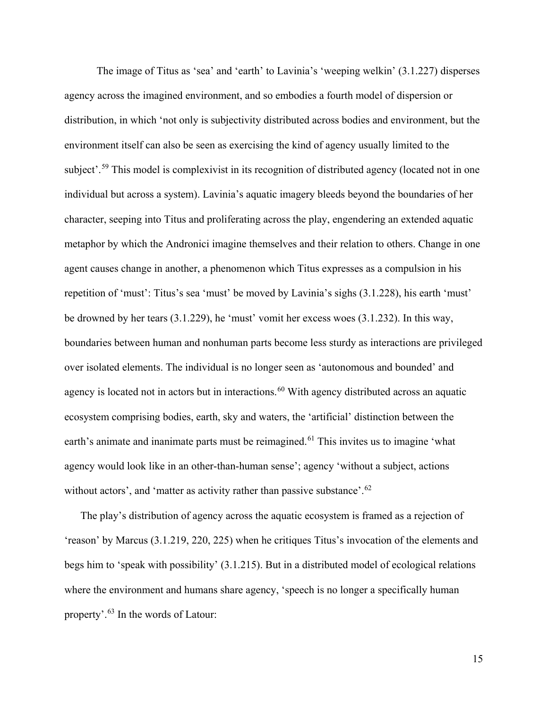The image of Titus as 'sea' and 'earth' to Lavinia's 'weeping welkin' (3.1.227) disperses agency across the imagined environment, and so embodies a fourth model of dispersion or distribution, in which 'not only is subjectivity distributed across bodies and environment, but the environment itself can also be seen as exercising the kind of agency usually limited to the subject'.<sup>[59](#page-10-4)</sup> This model is complexivist in its recognition of distributed agency (located not in one individual but across a system). Lavinia's aquatic imagery bleeds beyond the boundaries of her character, seeping into Titus and proliferating across the play, engendering an extended aquatic metaphor by which the Andronici imagine themselves and their relation to others. Change in one agent causes change in another, a phenomenon which Titus expresses as a compulsion in his repetition of 'must': Titus's sea 'must' be moved by Lavinia's sighs (3.1.228), his earth 'must' be drowned by her tears (3.1.229), he 'must' vomit her excess woes (3.1.232). In this way, boundaries between human and nonhuman parts become less sturdy as interactions are privileged over isolated elements. The individual is no longer seen as 'autonomous and bounded' and agency is located not in actors but in interactions.<sup>[60](#page-10-5)</sup> With agency distributed across an aquatic ecosystem comprising bodies, earth, sky and waters, the 'artificial' distinction between the earth's animate and inanimate parts must be reimagined.<sup>[61](#page-10-6)</sup> This invites us to imagine 'what agency would look like in an other-than-human sense'; agency 'without a subject, actions without actors', and 'matter as activity rather than passive substance'.<sup>[62](#page-10-7)</sup>

The play's distribution of agency across the aquatic ecosystem is framed as a rejection of 'reason' by Marcus (3.1.219, 220, 225) when he critiques Titus's invocation of the elements and begs him to 'speak with possibility' (3.1.215). But in a distributed model of ecological relations where the environment and humans share agency, 'speech is no longer a specifically human property'.[63](#page-10-8) In the words of Latour: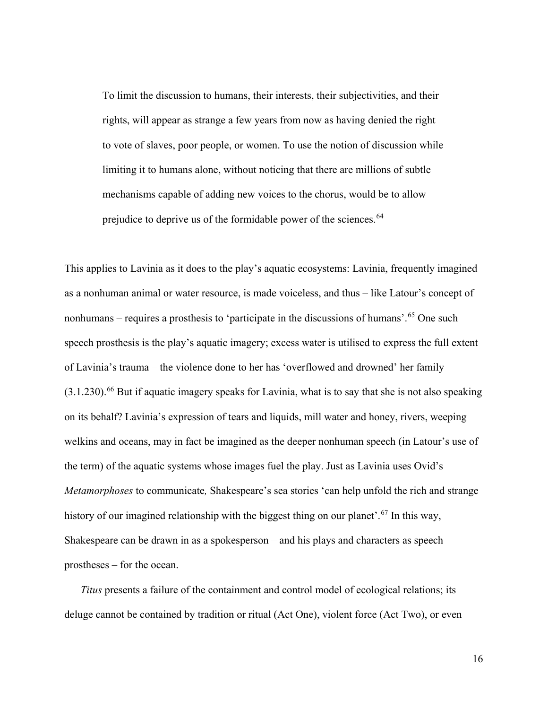To limit the discussion to humans, their interests, their subjectivities, and their rights, will appear as strange a few years from now as having denied the right to vote of slaves, poor people, or women. To use the notion of discussion while limiting it to humans alone, without noticing that there are millions of subtle mechanisms capable of adding new voices to the chorus, would be to allow prejudice to deprive us of the formidable power of the sciences.<sup>[64](#page-10-9)</sup>

This applies to Lavinia as it does to the play's aquatic ecosystems: Lavinia, frequently imagined as a nonhuman animal or water resource, is made voiceless, and thus – like Latour's concept of nonhumans – requires a prosthesis to 'participate in the discussions of humans'.<sup>[65](#page-10-10)</sup> One such speech prosthesis is the play's aquatic imagery; excess water is utilised to express the full extent of Lavinia's trauma – the violence done to her has 'overflowed and drowned' her family (3.1.230). [66](#page-10-11) But if aquatic imagery speaks for Lavinia, what is to say that she is not also speaking on its behalf? Lavinia's expression of tears and liquids, mill water and honey, rivers, weeping welkins and oceans, may in fact be imagined as the deeper nonhuman speech (in Latour's use of the term) of the aquatic systems whose images fuel the play. Just as Lavinia uses Ovid's *Metamorphoses* to communicate*,* Shakespeare's sea stories 'can help unfold the rich and strange history of our imagined relationship with the biggest thing on our planet'.<sup>[67](#page-10-12)</sup> In this way, Shakespeare can be drawn in as a spokesperson – and his plays and characters as speech prostheses – for the ocean.

*Titus* presents a failure of the containment and control model of ecological relations; its deluge cannot be contained by tradition or ritual (Act One), violent force (Act Two), or even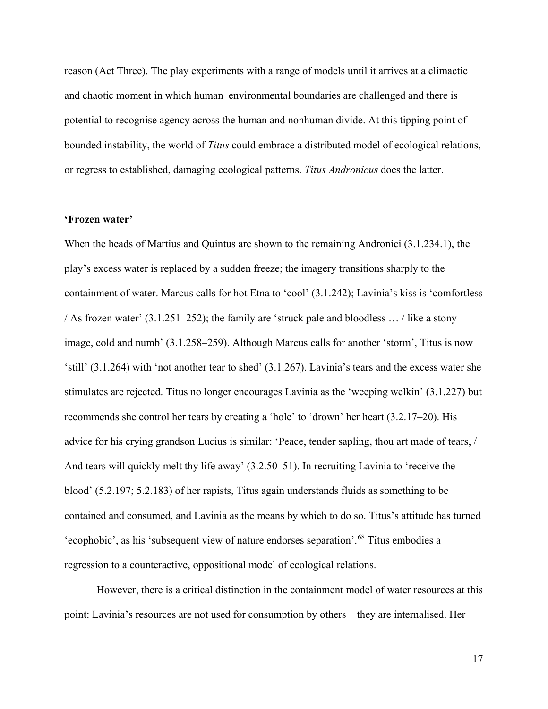reason (Act Three). The play experiments with a range of models until it arrives at a climactic and chaotic moment in which human–environmental boundaries are challenged and there is potential to recognise agency across the human and nonhuman divide. At this tipping point of bounded instability, the world of *Titus* could embrace a distributed model of ecological relations, or regress to established, damaging ecological patterns. *Titus Andronicus* does the latter.

# **'Frozen water'**

When the heads of Martius and Quintus are shown to the remaining Andronici (3.1.234.1), the play's excess water is replaced by a sudden freeze; the imagery transitions sharply to the containment of water. Marcus calls for hot Etna to 'cool' (3.1.242); Lavinia's kiss is 'comfortless / As frozen water'  $(3.1.251-252)$ ; the family are 'struck pale and bloodless ... / like a stony image, cold and numb' (3.1.258–259). Although Marcus calls for another 'storm', Titus is now 'still' (3.1.264) with 'not another tear to shed' (3.1.267). Lavinia's tears and the excess water she stimulates are rejected. Titus no longer encourages Lavinia as the 'weeping welkin' (3.1.227) but recommends she control her tears by creating a 'hole' to 'drown' her heart (3.2.17–20). His advice for his crying grandson Lucius is similar: 'Peace, tender sapling, thou art made of tears, / And tears will quickly melt thy life away' (3.2.50–51). In recruiting Lavinia to 'receive the blood' (5.2.197; 5.2.183) of her rapists, Titus again understands fluids as something to be contained and consumed, and Lavinia as the means by which to do so. Titus's attitude has turned 'ecophobic', as his 'subsequent view of nature endorses separation'.<sup>[68](#page-10-13)</sup> Titus embodies a regression to a counteractive, oppositional model of ecological relations.

However, there is a critical distinction in the containment model of water resources at this point: Lavinia's resources are not used for consumption by others – they are internalised. Her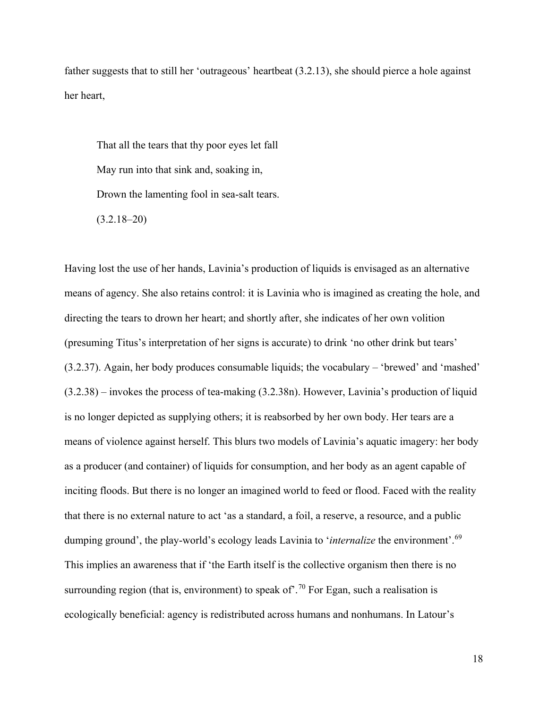father suggests that to still her 'outrageous' heartbeat (3.2.13), she should pierce a hole against her heart,

That all the tears that thy poor eyes let fall May run into that sink and, soaking in, Drown the lamenting fool in sea-salt tears.  $(3.2.18-20)$ 

Having lost the use of her hands, Lavinia's production of liquids is envisaged as an alternative means of agency. She also retains control: it is Lavinia who is imagined as creating the hole, and directing the tears to drown her heart; and shortly after, she indicates of her own volition (presuming Titus's interpretation of her signs is accurate) to drink 'no other drink but tears' (3.2.37). Again, her body produces consumable liquids; the vocabulary – 'brewed' and 'mashed' (3.2.38) – invokes the process of tea-making (3.2.38n). However, Lavinia's production of liquid is no longer depicted as supplying others; it is reabsorbed by her own body. Her tears are a means of violence against herself. This blurs two models of Lavinia's aquatic imagery: her body as a producer (and container) of liquids for consumption, and her body as an agent capable of inciting floods. But there is no longer an imagined world to feed or flood. Faced with the reality that there is no external nature to act 'as a standard, a foil, a reserve, a resource, and a public dumping ground', the play-world's ecology leads Lavinia to '*internalize* the environment'.[69](#page-10-14) This implies an awareness that if 'the Earth itself is the collective organism then there is no surrounding region (that is, environment) to speak of  $1.70$  $1.70$  For Egan, such a realisation is ecologically beneficial: agency is redistributed across humans and nonhumans. In Latour's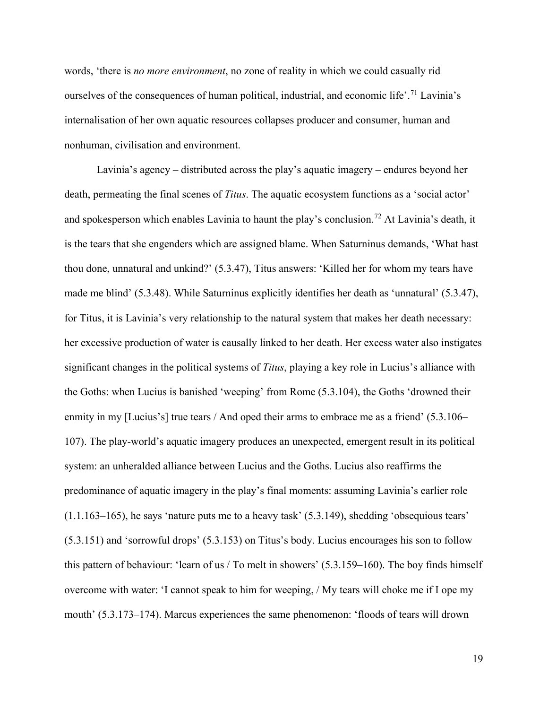words, 'there is *no more environment*, no zone of reality in which we could casually rid ourselves of the consequences of human political, industrial, and economic life'.<sup>[71](#page-11-0)</sup> Lavinia's internalisation of her own aquatic resources collapses producer and consumer, human and nonhuman, civilisation and environment.

Lavinia's agency – distributed across the play's aquatic imagery – endures beyond her death, permeating the final scenes of *Titus*. The aquatic ecosystem functions as a 'social actor' and spokesperson which enables Lavinia to haunt the play's conclusion.<sup>[72](#page-11-1)</sup> At Lavinia's death, it is the tears that she engenders which are assigned blame. When Saturninus demands, 'What hast thou done, unnatural and unkind?' (5.3.47), Titus answers: 'Killed her for whom my tears have made me blind' (5.3.48). While Saturninus explicitly identifies her death as 'unnatural' (5.3.47), for Titus, it is Lavinia's very relationship to the natural system that makes her death necessary: her excessive production of water is causally linked to her death. Her excess water also instigates significant changes in the political systems of *Titus*, playing a key role in Lucius's alliance with the Goths: when Lucius is banished 'weeping' from Rome (5.3.104), the Goths 'drowned their enmity in my [Lucius's] true tears / And oped their arms to embrace me as a friend' (5.3.106– 107). The play-world's aquatic imagery produces an unexpected, emergent result in its political system: an unheralded alliance between Lucius and the Goths. Lucius also reaffirms the predominance of aquatic imagery in the play's final moments: assuming Lavinia's earlier role (1.1.163–165), he says 'nature puts me to a heavy task' (5.3.149), shedding 'obsequious tears' (5.3.151) and 'sorrowful drops' (5.3.153) on Titus's body. Lucius encourages his son to follow this pattern of behaviour: 'learn of us / To melt in showers' (5.3.159–160). The boy finds himself overcome with water: 'I cannot speak to him for weeping, / My tears will choke me if I ope my mouth' (5.3.173–174). Marcus experiences the same phenomenon: 'floods of tears will drown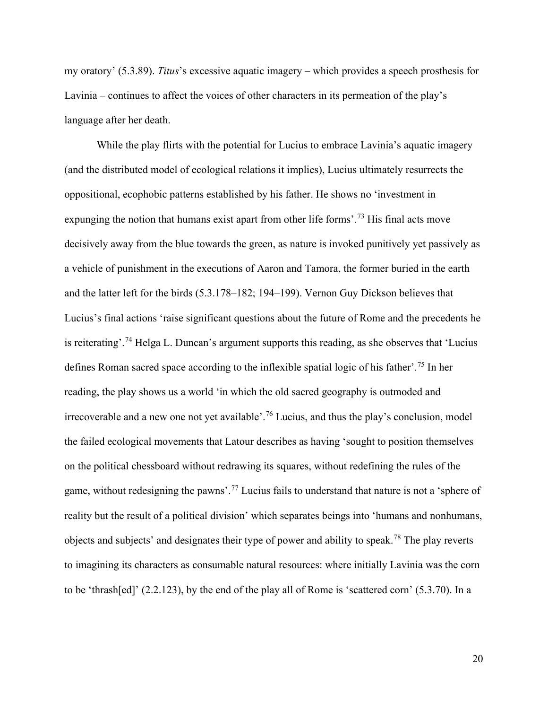my oratory' (5.3.89). *Titus*'s excessive aquatic imagery – which provides a speech prosthesis for Lavinia – continues to affect the voices of other characters in its permeation of the play's language after her death.

While the play flirts with the potential for Lucius to embrace Lavinia's aquatic imagery (and the distributed model of ecological relations it implies), Lucius ultimately resurrects the oppositional, ecophobic patterns established by his father. He shows no 'investment in expunging the notion that humans exist apart from other life forms'.<sup>[73](#page-11-2)</sup> His final acts move decisively away from the blue towards the green, as nature is invoked punitively yet passively as a vehicle of punishment in the executions of Aaron and Tamora, the former buried in the earth and the latter left for the birds (5.3.178–182; 194–199). Vernon Guy Dickson believes that Lucius's final actions 'raise significant questions about the future of Rome and the precedents he is reiterating'.<sup>[74](#page-11-3)</sup> Helga L. Duncan's argument supports this reading, as she observes that 'Lucius defines Roman sacred space according to the inflexible spatial logic of his father'. [75](#page-11-4) In her reading, the play shows us a world 'in which the old sacred geography is outmoded and irrecoverable and a new one not yet available'. [76](#page-11-5) Lucius, and thus the play's conclusion, model the failed ecological movements that Latour describes as having 'sought to position themselves on the political chessboard without redrawing its squares, without redefining the rules of the game, without redesigning the pawns'.<sup>[77](#page-11-6)</sup> Lucius fails to understand that nature is not a 'sphere of reality but the result of a political division' which separates beings into 'humans and nonhumans, objects and subjects' and designates their type of power and ability to speak.[78](#page-11-7) The play reverts to imagining its characters as consumable natural resources: where initially Lavinia was the corn to be 'thrash[ed]' (2.2.123), by the end of the play all of Rome is 'scattered corn' (5.3.70). In a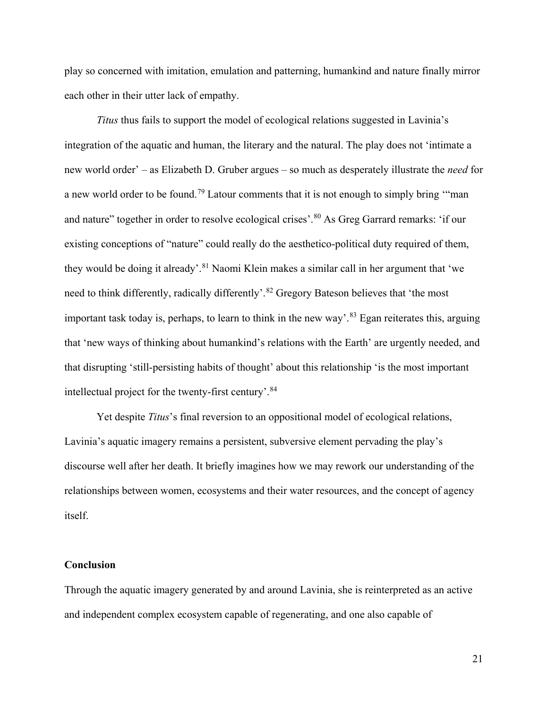play so concerned with imitation, emulation and patterning, humankind and nature finally mirror each other in their utter lack of empathy.

*Titus* thus fails to support the model of ecological relations suggested in Lavinia's integration of the aquatic and human, the literary and the natural. The play does not 'intimate a new world order' – as Elizabeth D. Gruber argues – so much as desperately illustrate the *need* for a new world order to be found.[79](#page-11-8) Latour comments that it is not enough to simply bring '"man and nature" together in order to resolve ecological crises'.<sup>[80](#page-11-9)</sup> As Greg Garrard remarks: 'if our existing conceptions of "nature" could really do the aesthetico-political duty required of them, they would be doing it already'.<sup>[81](#page-11-10)</sup> Naomi Klein makes a similar call in her argument that 'we need to think differently, radically differently'.<sup>[82](#page-11-11)</sup> Gregory Bateson believes that 'the most important task today is, perhaps, to learn to think in the new way'.<sup>[83](#page-11-12)</sup> Egan reiterates this, arguing that 'new ways of thinking about humankind's relations with the Earth' are urgently needed, and that disrupting 'still-persisting habits of thought' about this relationship 'is the most important intellectual project for the twenty-first century'. [84](#page-11-13)

Yet despite *Titus*'s final reversion to an oppositional model of ecological relations, Lavinia's aquatic imagery remains a persistent, subversive element pervading the play's discourse well after her death. It briefly imagines how we may rework our understanding of the relationships between women, ecosystems and their water resources, and the concept of agency itself.

#### **Conclusion**

Through the aquatic imagery generated by and around Lavinia, she is reinterpreted as an active and independent complex ecosystem capable of regenerating, and one also capable of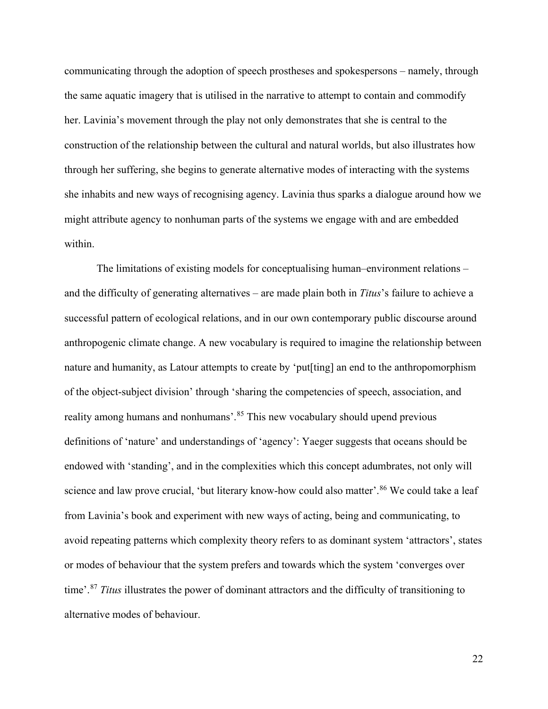communicating through the adoption of speech prostheses and spokespersons – namely, through the same aquatic imagery that is utilised in the narrative to attempt to contain and commodify her. Lavinia's movement through the play not only demonstrates that she is central to the construction of the relationship between the cultural and natural worlds, but also illustrates how through her suffering, she begins to generate alternative modes of interacting with the systems she inhabits and new ways of recognising agency. Lavinia thus sparks a dialogue around how we might attribute agency to nonhuman parts of the systems we engage with and are embedded within.

The limitations of existing models for conceptualising human–environment relations – and the difficulty of generating alternatives – are made plain both in *Titus*'s failure to achieve a successful pattern of ecological relations, and in our own contemporary public discourse around anthropogenic climate change. A new vocabulary is required to imagine the relationship between nature and humanity, as Latour attempts to create by 'put[ting] an end to the anthropomorphism of the object-subject division' through 'sharing the competencies of speech, association, and reality among humans and nonhumans'.<sup>[85](#page-11-14)</sup> This new vocabulary should upend previous definitions of 'nature' and understandings of 'agency': Yaeger suggests that oceans should be endowed with 'standing', and in the complexities which this concept adumbrates, not only will science and law prove crucial, 'but literary know-how could also matter'.<sup>[86](#page-11-15)</sup> We could take a leaf from Lavinia's book and experiment with new ways of acting, being and communicating, to avoid repeating patterns which complexity theory refers to as dominant system 'attractors', states or modes of behaviour that the system prefers and towards which the system 'converges over time'. [87](#page-11-16) *Titus* illustrates the power of dominant attractors and the difficulty of transitioning to alternative modes of behaviour.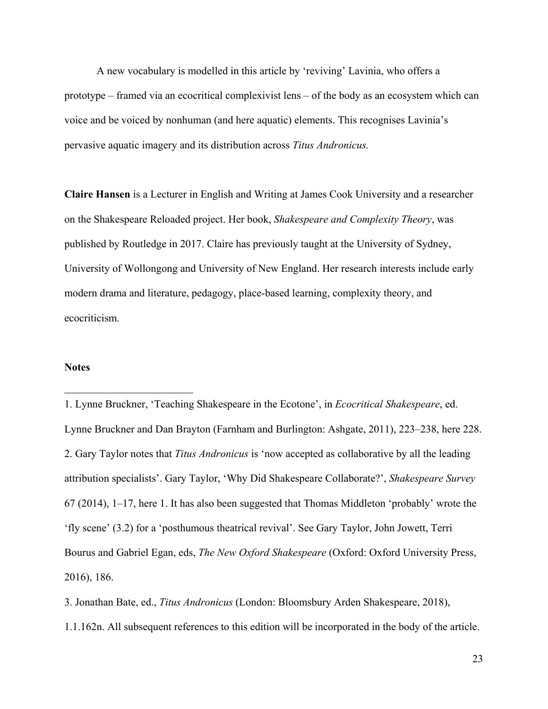A new vocabulary is modelled in this article by 'reviving' Lavinia, who offers a prototype – framed via an ecocritical complexivist lens – of the body as an ecosystem which can voice and be voiced by nonhuman (and here aquatic) elements. This recognises Lavinia's pervasive aquatic imagery and its distribution across *Titus Andronicus.*

**Claire Hansen** is a Lecturer in English and Writing at James Cook University and a researcher on the Shakespeare Reloaded project. Her book, *Shakespeare and Complexity Theory*, was published by Routledge in 2017. Claire has previously taught at the University of Sydney, University of Wollongong and University of New England. Her research interests include early modern drama and literature, pedagogy, place-based learning, complexity theory, and ecocriticism.

# **Notes**

 $\overline{a}$ 

1. Lynne Bruckner, 'Teaching Shakespeare in the Ecotone', in *Ecocritical Shakespeare*, ed. Lynne Bruckner and Dan Brayton (Farnham and Burlington: Ashgate, 2011), 223–238, here 228. 2. Gary Taylor notes that *Titus Andronicus* is 'now accepted as collaborative by all the leading attribution specialists'. Gary Taylor, 'Why Did Shakespeare Collaborate?', *Shakespeare Survey* 67 (2014), 1–17, here 1. It has also been suggested that Thomas Middleton 'probably' wrote the 'fly scene' (3.2) for a 'posthumous theatrical revival'. See Gary Taylor, John Jowett, Terri Bourus and Gabriel Egan, eds, *The New Oxford Shakespeare* (Oxford: Oxford University Press, 2016), 186.

3. Jonathan Bate, ed., *Titus Andronicus* (London: Bloomsbury Arden Shakespeare, 2018),

1.1.162n. All subsequent references to this edition will be incorporated in the body of the article.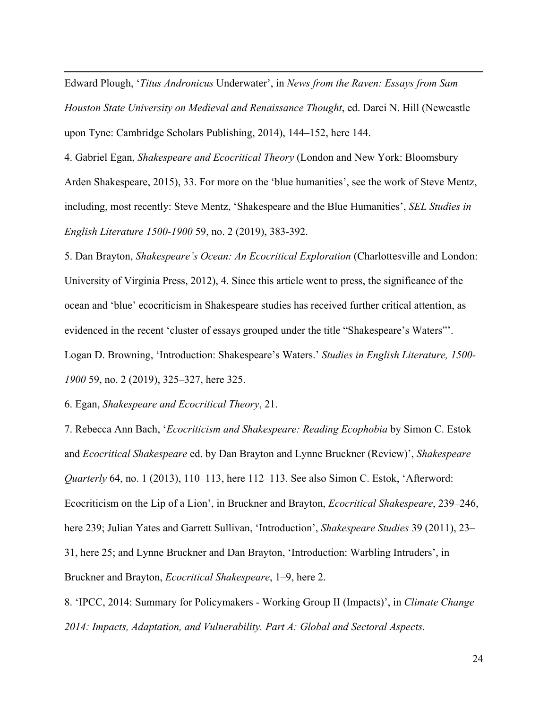Edward Plough, '*Titus Andronicus* Underwater', in *News from the Raven: Essays from Sam Houston State University on Medieval and Renaissance Thought*, ed. Darci N. Hill (Newcastle upon Tyne: Cambridge Scholars Publishing, 2014), 144–152, here 144.

4. Gabriel Egan, *Shakespeare and Ecocritical Theory* (London and New York: Bloomsbury Arden Shakespeare, 2015), 33. For more on the 'blue humanities', see the work of Steve Mentz, including, most recently: Steve Mentz, 'Shakespeare and the Blue Humanities', *SEL Studies in English Literature 1500-1900* 59, no. 2 (2019), 383-392.

5. Dan Brayton, *Shakespeare's Ocean: An Ecocritical Exploration* (Charlottesville and London: University of Virginia Press, 2012), 4. Since this article went to press, the significance of the ocean and 'blue' ecocriticism in Shakespeare studies has received further critical attention, as evidenced in the recent 'cluster of essays grouped under the title "Shakespeare's Waters"'. Logan D. Browning, 'Introduction: Shakespeare's Waters.' *Studies in English Literature, 1500- 1900* 59, no. 2 (2019), 325–327, here 325.

6. Egan, *Shakespeare and Ecocritical Theory*, 21.

 $\overline{a}$ 

7. Rebecca Ann Bach, '*Ecocriticism and Shakespeare: Reading Ecophobia* by Simon C. Estok and *Ecocritical Shakespeare* ed. by Dan Brayton and Lynne Bruckner (Review)', *Shakespeare Quarterly* 64, no. 1 (2013), 110–113, here 112–113. See also Simon C. Estok, 'Afterword: Ecocriticism on the Lip of a Lion', in Bruckner and Brayton, *Ecocritical Shakespeare*, 239–246, here 239; Julian Yates and Garrett Sullivan, 'Introduction', *Shakespeare Studies* 39 (2011), 23– 31, here 25; and Lynne Bruckner and Dan Brayton, 'Introduction: Warbling Intruders', in Bruckner and Brayton, *Ecocritical Shakespeare*, 1–9, here 2.

8. 'IPCC, 2014: Summary for Policymakers - Working Group II (Impacts)', in *Climate Change 2014: Impacts, Adaptation, and Vulnerability. Part A: Global and Sectoral Aspects.*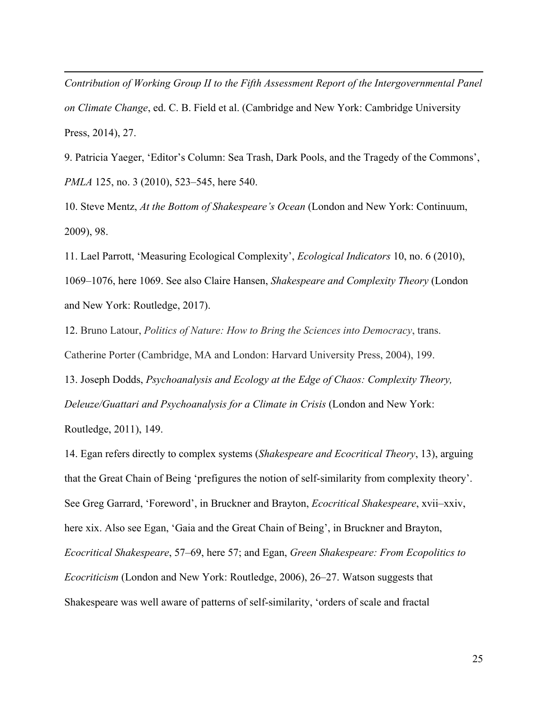*Contribution of Working Group II to the Fifth Assessment Report of the Intergovernmental Panel on Climate Change*, ed. C. B. Field et al. (Cambridge and New York: Cambridge University Press, 2014), 27.

 $\overline{a}$ 

9. Patricia Yaeger, 'Editor's Column: Sea Trash, Dark Pools, and the Tragedy of the Commons', *PMLA* 125, no. 3 (2010), 523–545, here 540.

10. Steve Mentz, *At the Bottom of Shakespeare's Ocean* (London and New York: Continuum, 2009), 98.

11. Lael Parrott, 'Measuring Ecological Complexity', *Ecological Indicators* 10, no. 6 (2010), 1069–1076, here 1069. See also Claire Hansen, *Shakespeare and Complexity Theory* (London and New York: Routledge, 2017).

12. Bruno Latour, *Politics of Nature: How to Bring the Sciences into Democracy*, trans. Catherine Porter (Cambridge, MA and London: Harvard University Press, 2004), 199.

13. Joseph Dodds, *Psychoanalysis and Ecology at the Edge of Chaos: Complexity Theory, Deleuze/Guattari and Psychoanalysis for a Climate in Crisis* (London and New York: Routledge, 2011), 149.

14. Egan refers directly to complex systems (*Shakespeare and Ecocritical Theory*, 13), arguing that the Great Chain of Being 'prefigures the notion of self-similarity from complexity theory'. See Greg Garrard, 'Foreword', in Bruckner and Brayton, *Ecocritical Shakespeare*, xvii–xxiv, here xix. Also see Egan, 'Gaia and the Great Chain of Being', in Bruckner and Brayton, *Ecocritical Shakespeare*, 57–69, here 57; and Egan, *Green Shakespeare: From Ecopolitics to Ecocriticism* (London and New York: Routledge, 2006), 26–27. Watson suggests that Shakespeare was well aware of patterns of self-similarity, 'orders of scale and fractal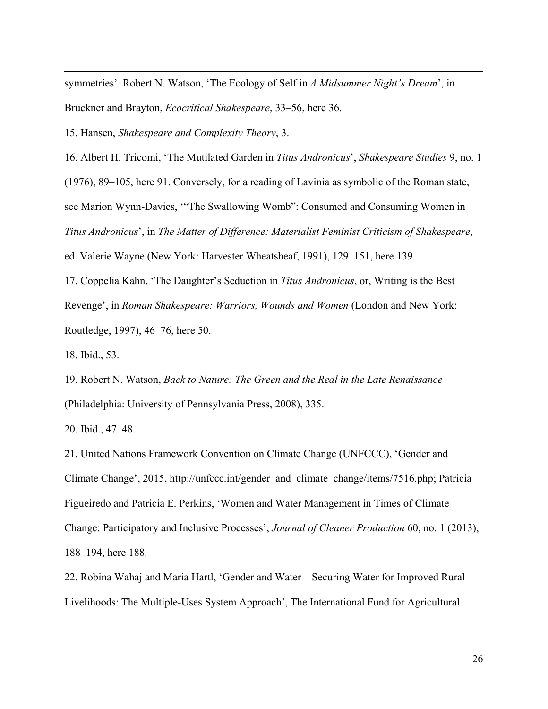symmetries'. Robert N. Watson, 'The Ecology of Self in *A Midsummer Night's Dream*', in Bruckner and Brayton, *Ecocritical Shakespeare*, 33–56, here 36.

15. Hansen, *Shakespeare and Complexity Theory*, 3.

16. Albert H. Tricomi, 'The Mutilated Garden in *Titus Andronicus*', *Shakespeare Studies* 9, no. 1 (1976), 89–105, here 91. Conversely, for a reading of Lavinia as symbolic of the Roman state, see Marion Wynn-Davies, '"The Swallowing Womb": Consumed and Consuming Women in *Titus Andronicus*', in *The Matter of Difference: Materialist Feminist Criticism of Shakespeare*, ed. Valerie Wayne (New York: Harvester Wheatsheaf, 1991), 129–151, here 139.

17. Coppelia Kahn, 'The Daughter's Seduction in *Titus Andronicus*, or, Writing is the Best Revenge', in *Roman Shakespeare: Warriors, Wounds and Women* (London and New York: Routledge, 1997), 46–76, here 50.

18. Ibid., 53.

 $\overline{a}$ 

19. Robert N. Watson, *Back to Nature: The Green and the Real in the Late Renaissance* (Philadelphia: University of Pennsylvania Press, 2008), 335.

20. Ibid., 47–48.

21. United Nations Framework Convention on Climate Change (UNFCCC), 'Gender and Climate Change', 2015, [http://unfccc.int/gender\\_and\\_climate\\_change/items/7516.php;](http://unfccc.int/gender_and_climate_change/items/7516.php) Patricia Figueiredo and Patricia E. Perkins, 'Women and Water Management in Times of Climate Change: Participatory and Inclusive Processes', *Journal of Cleaner Production* 60, no. 1 (2013), 188–194, here 188.

22. Robina Wahaj and Maria Hartl, 'Gender and Water – Securing Water for Improved Rural Livelihoods: The Multiple-Uses System Approach', The International Fund for Agricultural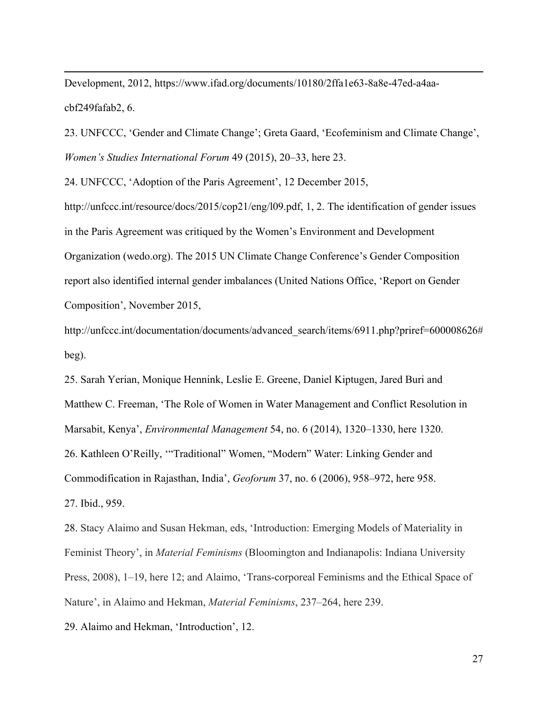Development, 2012, [https://www.ifad.org/documents/10180/2ffa1e63-8a8e-47ed-a4aa](https://www.ifad.org/documents/10180/2ffa1e63-8a8e-47ed-a4aa-cbf249fafab2)[cbf249fafab2,](https://www.ifad.org/documents/10180/2ffa1e63-8a8e-47ed-a4aa-cbf249fafab2) 6.

23. UNFCCC, 'Gender and Climate Change'; Greta Gaard, 'Ecofeminism and Climate Change', *Women's Studies International Forum* 49 (2015), 20–33, here 23.

24. UNFCCC, 'Adoption of the Paris Agreement', 12 December 2015,

 $\overline{a}$ 

[http://unfccc.int/resource/docs/2015/cop21/eng/l09.pdf,](http://unfccc.int/resource/docs/2015/cop21/eng/l09.pdf) 1, 2. The identification of gender issues in the Paris Agreement was critiqued by the Women's Environment and Development Organization (wedo.org). The 2015 UN Climate Change Conference's Gender Composition report also identified internal gender imbalances (United Nations Office, 'Report on Gender Composition', November 2015,

[http://unfccc.int/documentation/documents/advanced\\_search/items/6911.php?priref=600008626#](http://unfccc.int/documentation/documents/advanced_search/items/6911.php?priref=600008626#beg) [beg\)](http://unfccc.int/documentation/documents/advanced_search/items/6911.php?priref=600008626#beg).

25. Sarah Yerian, Monique Hennink, Leslie E. Greene, Daniel Kiptugen, Jared Buri and Matthew C. Freeman, 'The Role of Women in Water Management and Conflict Resolution in Marsabit, Kenya', *Environmental Management* 54, no. 6 (2014), 1320–1330, here 1320. 26. Kathleen O'Reilly, '"Traditional" Women, "Modern" Water: Linking Gender and Commodification in Rajasthan, India', *Geoforum* 37, no. 6 (2006), 958–972, here 958. 27. Ibid., 959.

28. Stacy Alaimo and Susan Hekman, eds, 'Introduction: Emerging Models of Materiality in Feminist Theory', in *Material Feminisms* (Bloomington and Indianapolis: Indiana University Press, 2008), 1–19, here 12; and Alaimo, 'Trans-corporeal Feminisms and the Ethical Space of Nature', in Alaimo and Hekman, *Material Feminisms*, 237–264, here 239.

29. Alaimo and Hekman, 'Introduction', 12.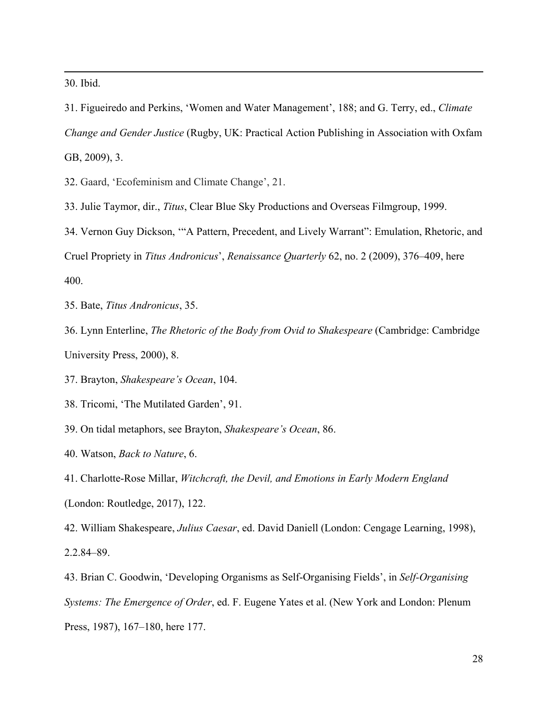30. Ibid.

 $\overline{a}$ 

31. Figueiredo and Perkins, 'Women and Water Management', 188; and G. Terry, ed., *Climate Change and Gender Justice* (Rugby, UK: Practical Action Publishing in Association with Oxfam GB, 2009), 3.

32. Gaard, 'Ecofeminism and Climate Change', 21.

33. Julie Taymor, dir., *Titus*, Clear Blue Sky Productions and Overseas Filmgroup, 1999.

34. Vernon Guy Dickson, '"A Pattern, Precedent, and Lively Warrant": Emulation, Rhetoric, and Cruel Propriety in *Titus Andronicus*', *Renaissance Quarterly* 62, no. 2 (2009), 376–409, here 400.

35. Bate, *Titus Andronicus*, 35.

36. Lynn Enterline, *The Rhetoric of the Body from Ovid to Shakespeare* (Cambridge: Cambridge University Press, 2000), 8.

37. Brayton, *Shakespeare's Ocean*, 104.

38. Tricomi, 'The Mutilated Garden', 91.

39. On tidal metaphors, see Brayton, *Shakespeare's Ocean*, 86.

40. Watson, *Back to Nature*, 6.

41. Charlotte-Rose Millar, *Witchcraft, the Devil, and Emotions in Early Modern England* (London: Routledge, 2017), 122.

42. William Shakespeare, *Julius Caesar*, ed. David Daniell (London: Cengage Learning, 1998), 2.2.84–89.

43. Brian C. Goodwin, 'Developing Organisms as Self-Organising Fields', in *Self-Organising Systems: The Emergence of Order*, ed. F. Eugene Yates et al. (New York and London: Plenum Press, 1987), 167–180, here 177.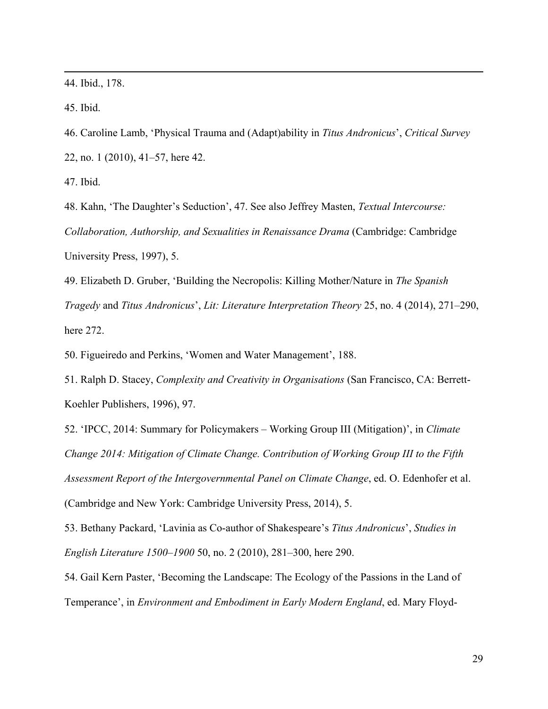44. Ibid., 178.

45. Ibid.

 $\overline{a}$ 

46. Caroline Lamb, 'Physical Trauma and (Adapt)ability in *Titus Andronicus*', *Critical Survey* 22, no. 1 (2010), 41–57, here 42.

47. Ibid.

48. Kahn, 'The Daughter's Seduction', 47. See also Jeffrey Masten, *Textual Intercourse: Collaboration, Authorship, and Sexualities in Renaissance Drama* (Cambridge: Cambridge University Press, 1997), 5.

49. Elizabeth D. Gruber, 'Building the Necropolis: Killing Mother/Nature in *The Spanish Tragedy* and *Titus Andronicus*', *Lit: Literature Interpretation Theory* 25, no. 4 (2014), 271–290, here 272.

50. Figueiredo and Perkins, 'Women and Water Management', 188.

51. Ralph D. Stacey, *Complexity and Creativity in Organisations* (San Francisco, CA: Berrett-Koehler Publishers, 1996), 97.

52. 'IPCC, 2014: Summary for Policymakers – Working Group III (Mitigation)', in *Climate Change 2014: Mitigation of Climate Change. Contribution of Working Group III to the Fifth Assessment Report of the Intergovernmental Panel on Climate Change*, ed. O. Edenhofer et al. (Cambridge and New York: Cambridge University Press, 2014), 5.

53. Bethany Packard, 'Lavinia as Co-author of Shakespeare's *Titus Andronicus*', *Studies in English Literature 1500–1900* 50, no. 2 (2010), 281–300, here 290.

54. Gail Kern Paster, 'Becoming the Landscape: The Ecology of the Passions in the Land of Temperance', in *Environment and Embodiment in Early Modern England*, ed. Mary Floyd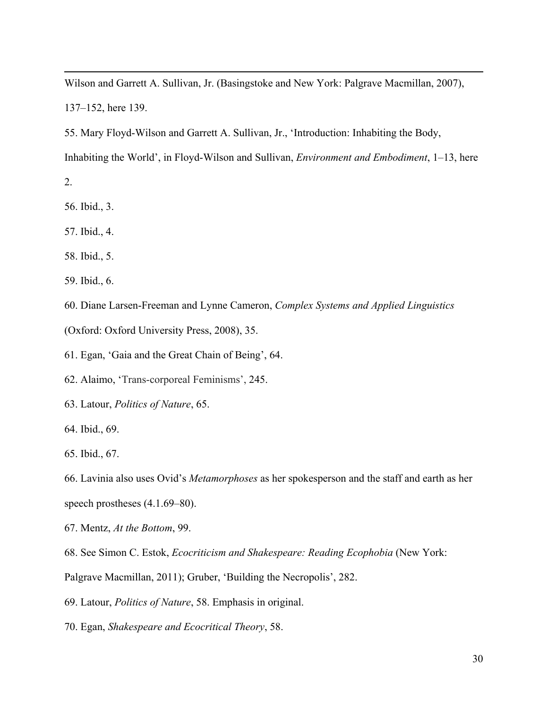Wilson and Garrett A. Sullivan, Jr. (Basingstoke and New York: Palgrave Macmillan, 2007), 137–152, here 139.

55. Mary Floyd-Wilson and Garrett A. Sullivan, Jr., 'Introduction: Inhabiting the Body,

Inhabiting the World', in Floyd-Wilson and Sullivan, *Environment and Embodiment*, 1–13, here

2.

 $\overline{a}$ 

- 56. Ibid., 3.
- 57. Ibid., 4.
- 58. Ibid., 5.
- 59. Ibid., 6.
- 60. Diane Larsen-Freeman and Lynne Cameron, *Complex Systems and Applied Linguistics*
- (Oxford: Oxford University Press, 2008), 35.
- 61. Egan, 'Gaia and the Great Chain of Being', 64.
- 62. Alaimo, 'Trans-corporeal Feminisms', 245.
- 63. Latour, *Politics of Nature*, 65.
- 64. Ibid., 69.
- 65. Ibid., 67.

66. Lavinia also uses Ovid's *Metamorphoses* as her spokesperson and the staff and earth as her speech prostheses (4.1.69–80).

- 67. Mentz, *At the Bottom*, 99.
- 68. See Simon C. Estok, *Ecocriticism and Shakespeare: Reading Ecophobia* (New York:
- Palgrave Macmillan, 2011); Gruber, 'Building the Necropolis', 282.
- 69. Latour, *Politics of Nature*, 58. Emphasis in original.
- 70. Egan, *Shakespeare and Ecocritical Theory*, 58.